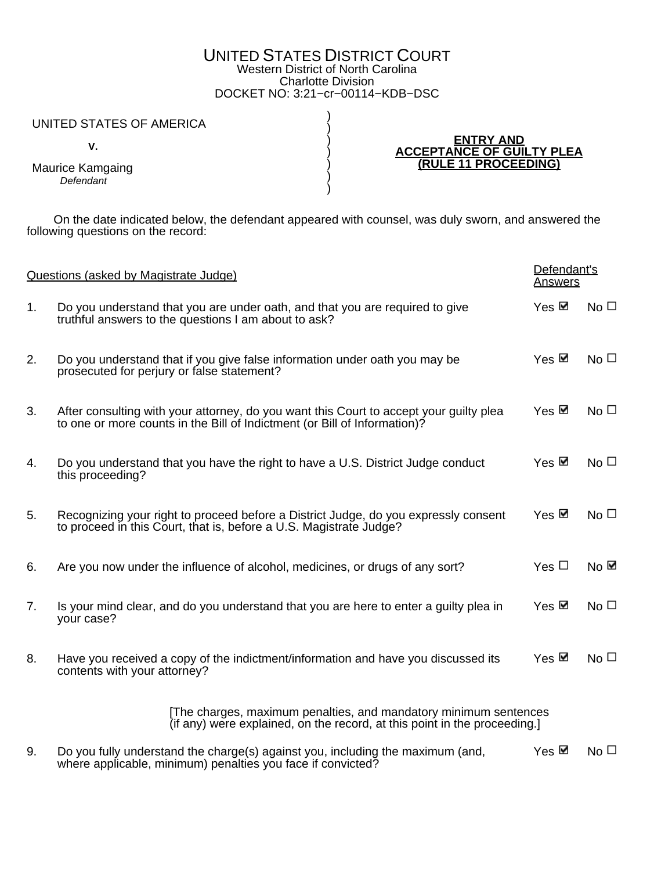## UNITED STATES DISTRICT COURT Western District of North Carolina Charlotte Division DOCKET NO: 3:21−cr−00114−KDB−DSC

) ) ) ) ) ) )

## UNITED STATES OF AMERICA

 **V.**

Maurice Kamgaing **Defendant** 

**ENTRY AND ACCEPTANCE OF GUILTY PLEA (RULE 11 PROCEEDING)**

 On the date indicated below, the defendant appeared with counsel, was duly sworn, and answered the following questions on the record:

| Questions (asked by Magistrate Judge) |                                                                                                                                                                     | Defendant's<br><b>Answers</b> |                 |  |  |
|---------------------------------------|---------------------------------------------------------------------------------------------------------------------------------------------------------------------|-------------------------------|-----------------|--|--|
| 1.                                    | Do you understand that you are under oath, and that you are required to give<br>truthful answers to the questions I am about to ask?                                | $Yes \n$                      | $No\square$     |  |  |
| 2.                                    | Do you understand that if you give false information under oath you may be<br>prosecuted for perjury or false statement?                                            | Yes ⊠                         | No $\Box$       |  |  |
| 3.                                    | After consulting with your attorney, do you want this Court to accept your guilty plea<br>to one or more counts in the Bill of Indictment (or Bill of Information)? | Yes <b>⊠</b>                  | No $\Box$       |  |  |
| 4.                                    | Do you understand that you have the right to have a U.S. District Judge conduct<br>this proceeding?                                                                 | Yes $\boxtimes$               | No $\Box$       |  |  |
| 5.                                    | Recognizing your right to proceed before a District Judge, do you expressly consent<br>to proceed in this Court, that is, before a U.S. Magistrate Judge?           | Yes ⊠                         | No $\Box$       |  |  |
| 6.                                    | Are you now under the influence of alcohol, medicines, or drugs of any sort?                                                                                        | Yes $\Box$                    | No $\boxtimes$  |  |  |
| 7.                                    | Is your mind clear, and do you understand that you are here to enter a guilty plea in<br>your case?                                                                 | Yes ⊠                         | No <sub>1</sub> |  |  |
| 8.                                    | Have you received a copy of the indictment/information and have you discussed its<br>contents with your attorney?                                                   | Yes $⊠$                       | No $\Box$       |  |  |
|                                       | [The charges, maximum penalties, and mandatory minimum sentences<br>(if any) were explained, on the record, at this point in the proceeding.                        |                               |                 |  |  |
| 9.                                    | Do you fully understand the charge(s) against you, including the maximum (and,<br>where applicable, minimum) penalties you face if convicted?                       | Yes <b>⊠</b>                  | No <sub>1</sub> |  |  |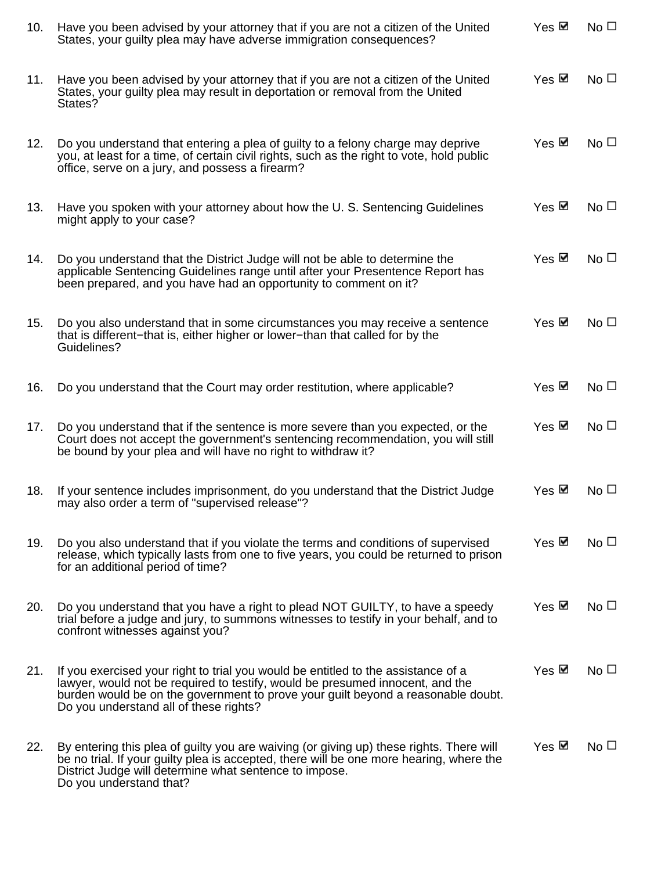| 10.        | Have you been advised by your attorney that if you are not a citizen of the United<br>States, your guilty plea may have adverse immigration consequences?                                                                                                                                        | Yes ⊠           | No $\square$ |
|------------|--------------------------------------------------------------------------------------------------------------------------------------------------------------------------------------------------------------------------------------------------------------------------------------------------|-----------------|--------------|
| 11.        | Have you been advised by your attorney that if you are not a citizen of the United<br>States, your guilty plea may result in deportation or removal from the United<br>States?                                                                                                                   | Yes <b>⊠</b>    | No $\Box$    |
| 12.        | Do you understand that entering a plea of guilty to a felony charge may deprive<br>you, at least for a time, of certain civil rights, such as the right to vote, hold public<br>office, serve on a jury, and possess a firearm?                                                                  | Yes <b>☑</b>    | No $\Box$    |
| 13.        | Have you spoken with your attorney about how the U.S. Sentencing Guidelines<br>might apply to your case?                                                                                                                                                                                         | Yes ⊠           | No $\Box$    |
| 14.        | Do you understand that the District Judge will not be able to determine the<br>applicable Sentencing Guidelines range until after your Presentence Report has<br>been prepared, and you have had an opportunity to comment on it?                                                                | Yes $\boxtimes$ | No $\Box$    |
| 15.        | Do you also understand that in some circumstances you may receive a sentence<br>that is different–that is, either higher or lower–than that called for by the<br>Guidelines?                                                                                                                     | Yes ⊠           | $No\square$  |
| 16.        | Do you understand that the Court may order restitution, where applicable?                                                                                                                                                                                                                        | Yes ⊠           | No $\Box$    |
| 17.        | Do you understand that if the sentence is more severe than you expected, or the<br>Court does not accept the government's sentencing recommendation, you will still<br>be bound by your plea and will have no right to withdraw it?                                                              | Yes ⊠           | No $\Box$    |
| 18.        | If your sentence includes imprisonment, do you understand that the District Judge<br>may also order a term of "supervised release"?                                                                                                                                                              | Yes ⊠           | No $\Box$    |
| 19.        | Do you also understand that if you violate the terms and conditions of supervised<br>release, which typically lasts from one to five years, you could be returned to prison<br>for an additional period of time?                                                                                 | Yes $⊠$         | $No\square$  |
| <b>20.</b> | Do you understand that you have a right to plead NOT GUILTY, to have a speedy<br>trial before a judge and jury, to summons witnesses to testify in your behalf, and to<br>confront witnesses against you?                                                                                        | Yes $⊠$         | No $\Box$    |
| 21.        | If you exercised your right to trial you would be entitled to the assistance of a<br>lawyer, would not be required to testify, would be presumed innocent, and the<br>burden would be on the government to prove your guilt beyond a reasonable doubt.<br>Do you understand all of these rights? | Yes ⊠           | No $\Box$    |
| 22.        | By entering this plea of guilty you are waiving (or giving up) these rights. There will<br>be no trial. If your guilty plea is accepted, there will be one more hearing, where the<br>District Judge will determine what sentence to impose.<br>Do you understand that?                          | Yes $⊠$         | No $\Box$    |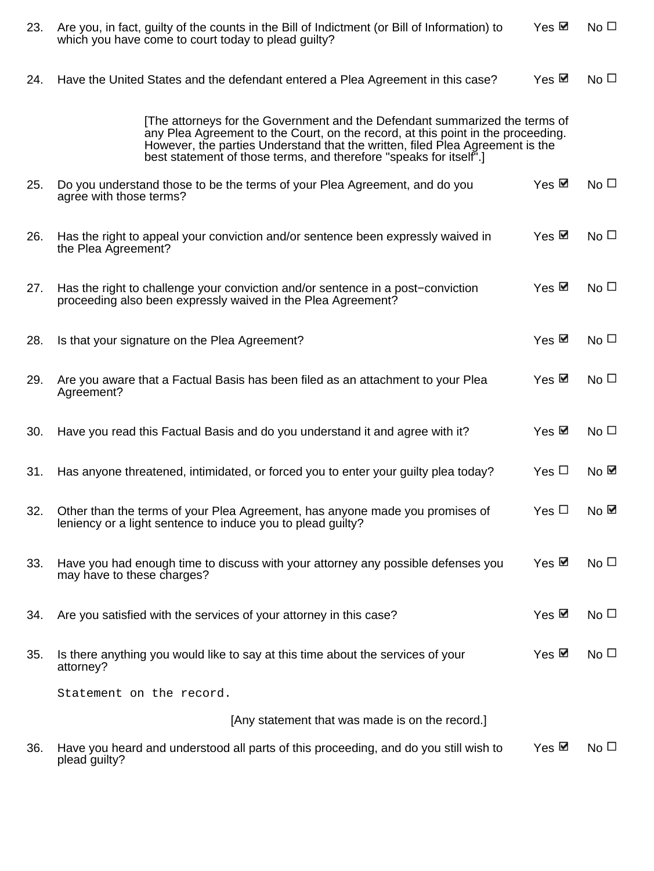| 23. | Are you, in fact, guilty of the counts in the Bill of Indictment (or Bill of Information) to<br>which you have come to court today to plead guilty?                                                                                                                                                                   | Yes $⊠$         | No $\Box$      |
|-----|-----------------------------------------------------------------------------------------------------------------------------------------------------------------------------------------------------------------------------------------------------------------------------------------------------------------------|-----------------|----------------|
| 24. | Have the United States and the defendant entered a Plea Agreement in this case?                                                                                                                                                                                                                                       | Yes ⊠           | No $\Box$      |
|     | The attorneys for the Government and the Defendant summarized the terms of<br>any Plea Agreement to the Court, on the record, at this point in the proceeding.<br>However, the parties Understand that the written, filed Plea Agreement is the<br>best statement of those terms, and therefore "speaks for itself".] |                 |                |
| 25. | Do you understand those to be the terms of your Plea Agreement, and do you<br>agree with those terms?                                                                                                                                                                                                                 | Yes ⊠           | $No\square$    |
| 26. | Has the right to appeal your conviction and/or sentence been expressly waived in<br>the Plea Agreement?                                                                                                                                                                                                               | Yes ⊠           | No $\Box$      |
| 27. | Has the right to challenge your conviction and/or sentence in a post–conviction<br>proceeding also been expressly waived in the Plea Agreement?                                                                                                                                                                       | Yes $⊠$         | $No\square$    |
| 28. | Is that your signature on the Plea Agreement?                                                                                                                                                                                                                                                                         | Yes ⊠           | No $\Box$      |
| 29. | Are you aware that a Factual Basis has been filed as an attachment to your Plea<br>Agreement?                                                                                                                                                                                                                         | Yes <b>⊠</b>    | No $\Box$      |
| 30. | Have you read this Factual Basis and do you understand it and agree with it?                                                                                                                                                                                                                                          | Yes $\boxtimes$ | No $\Box$      |
| 31. | Has anyone threatened, intimidated, or forced you to enter your guilty plea today?                                                                                                                                                                                                                                    | Yes $\Box$      | No $⊠$         |
| 32  | Other than the terms of your Plea Agreement, has anyone made you promises of<br>leniency or a light sentence to induce you to plead guilty?                                                                                                                                                                           | Yes $\Box$      | No $\boxtimes$ |
| 33. | Have you had enough time to discuss with your attorney any possible defenses you<br>may have to these charges?                                                                                                                                                                                                        | Yes ⊠           | No $\Box$      |
| 34. | Are you satisfied with the services of your attorney in this case?                                                                                                                                                                                                                                                    | Yes ⊠           | $No\square$    |
| 35. | Is there anything you would like to say at this time about the services of your<br>attorney?                                                                                                                                                                                                                          | Yes ⊠           | $No\square$    |
|     | Statement on the record.                                                                                                                                                                                                                                                                                              |                 |                |
|     | [Any statement that was made is on the record.]                                                                                                                                                                                                                                                                       |                 |                |
| 36. | Have you heard and understood all parts of this proceeding, and do you still wish to<br>plead guilty?                                                                                                                                                                                                                 | Yes ⊠           | No $\Box$      |